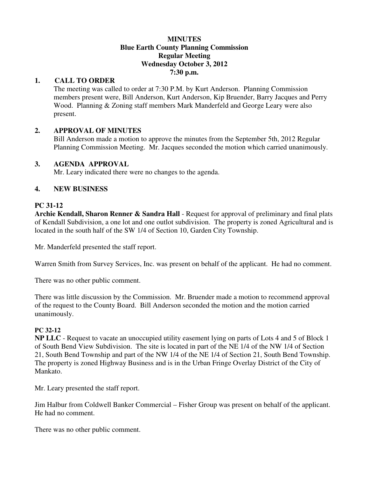#### **MINUTES Blue Earth County Planning Commission Regular Meeting Wednesday October 3, 2012 7:30 p.m.**

## **1. CALL TO ORDER**

The meeting was called to order at 7:30 P.M. by Kurt Anderson. Planning Commission members present were, Bill Anderson, Kurt Anderson, Kip Bruender, Barry Jacques and Perry Wood. Planning & Zoning staff members Mark Manderfeld and George Leary were also present.

## **2. APPROVAL OF MINUTES**

Bill Anderson made a motion to approve the minutes from the September 5th, 2012 Regular Planning Commission Meeting. Mr. Jacques seconded the motion which carried unanimously.

## **3. AGENDA APPROVAL**

Mr. Leary indicated there were no changes to the agenda.

# **4. NEW BUSINESS**

# **PC 31-12**

**Archie Kendall, Sharon Renner & Sandra Hall** - Request for approval of preliminary and final plats of Kendall Subdivision, a one lot and one outlot subdivision. The property is zoned Agricultural and is located in the south half of the SW 1/4 of Section 10, Garden City Township.

Mr. Manderfeld presented the staff report.

Warren Smith from Survey Services, Inc. was present on behalf of the applicant. He had no comment.

There was no other public comment.

There was little discussion by the Commission. Mr. Bruender made a motion to recommend approval of the request to the County Board. Bill Anderson seconded the motion and the motion carried unanimously.

## **PC 32-12**

**NP LLC** - Request to vacate an unoccupied utility easement lying on parts of Lots 4 and 5 of Block 1 of South Bend View Subdivision. The site is located in part of the NE 1/4 of the NW 1/4 of Section 21, South Bend Township and part of the NW 1/4 of the NE 1/4 of Section 21, South Bend Township. The property is zoned Highway Business and is in the Urban Fringe Overlay District of the City of Mankato.

Mr. Leary presented the staff report.

Jim Halbur from Coldwell Banker Commercial – Fisher Group was present on behalf of the applicant. He had no comment.

There was no other public comment.